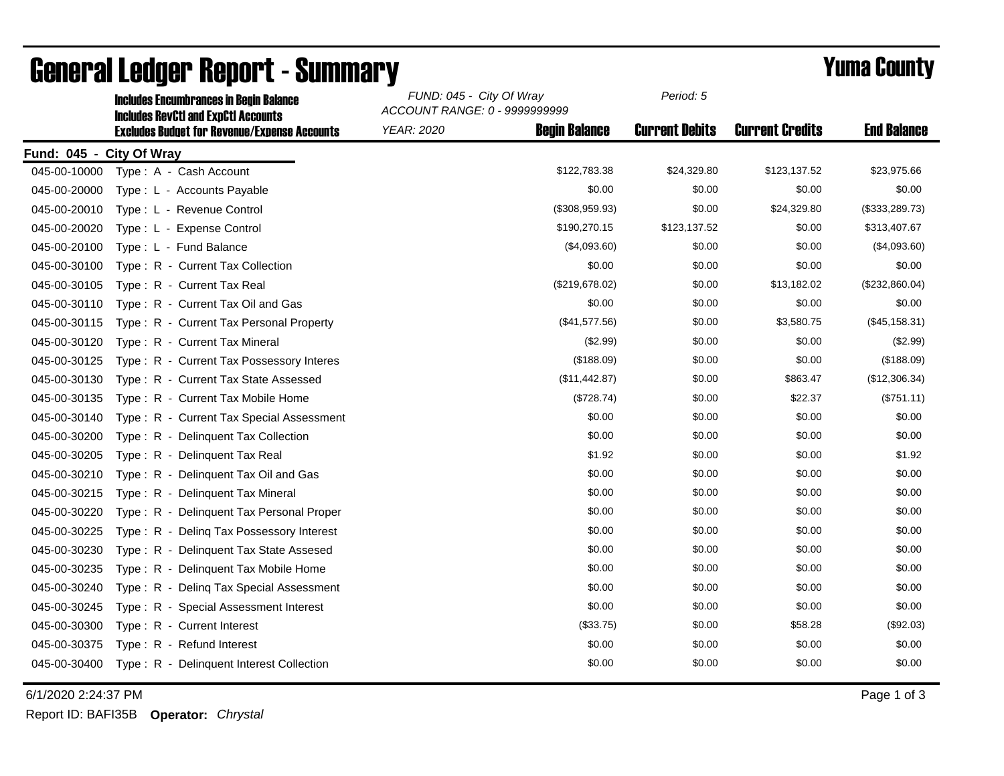|                          | <b>Includes Encumbrances in Begin Balance</b>                                                     | FUND: 045 - City Of Wray<br>ACCOUNT RANGE: 0 - 9999999999 |                      | Period: 5             |                        |                    |
|--------------------------|---------------------------------------------------------------------------------------------------|-----------------------------------------------------------|----------------------|-----------------------|------------------------|--------------------|
|                          | <b>Includes RevCtI and ExpCtI Accounts</b><br><b>Excludes Budget for Revenue/Expense Accounts</b> | <b>YEAR: 2020</b>                                         | <b>Begin Balance</b> | <b>Current Debits</b> | <b>Current Credits</b> | <b>End Balance</b> |
| Fund: 045 - City Of Wray |                                                                                                   |                                                           |                      |                       |                        |                    |
| 045-00-10000             | Type: A - Cash Account                                                                            |                                                           | \$122,783.38         | \$24,329.80           | \$123,137.52           | \$23,975.66        |
| 045-00-20000             | Type: L - Accounts Payable                                                                        |                                                           | \$0.00               | \$0.00                | \$0.00                 | \$0.00             |
| 045-00-20010             | Type: L - Revenue Control                                                                         |                                                           | (\$308,959.93)       | \$0.00                | \$24,329.80            | (\$333,289.73)     |
| 045-00-20020             | Type: L - Expense Control                                                                         |                                                           | \$190,270.15         | \$123,137.52          | \$0.00                 | \$313,407.67       |
| 045-00-20100             | Type: L - Fund Balance                                                                            |                                                           | (\$4,093.60)         | \$0.00                | \$0.00                 | (\$4,093.60)       |
| 045-00-30100             | Type: R - Current Tax Collection                                                                  |                                                           | \$0.00               | \$0.00                | \$0.00                 | \$0.00             |
| 045-00-30105             | Type: R - Current Tax Real                                                                        |                                                           | (\$219,678.02)       | \$0.00                | \$13,182.02            | (\$232,860.04)     |
| 045-00-30110             | Type: R - Current Tax Oil and Gas                                                                 |                                                           | \$0.00               | \$0.00                | \$0.00                 | \$0.00             |
| 045-00-30115             | Type: R - Current Tax Personal Property                                                           |                                                           | (\$41,577.56)        | \$0.00                | \$3,580.75             | (\$45, 158.31)     |
| 045-00-30120             | Type: R - Current Tax Mineral                                                                     |                                                           | (\$2.99)             | \$0.00                | \$0.00                 | (\$2.99)           |
| 045-00-30125             | Type: R - Current Tax Possessory Interes                                                          |                                                           | (\$188.09)           | \$0.00                | \$0.00                 | (\$188.09)         |
| 045-00-30130             | Type: R - Current Tax State Assessed                                                              |                                                           | (\$11,442.87)        | \$0.00                | \$863.47               | (\$12,306.34)      |
| 045-00-30135             | Type: R - Current Tax Mobile Home                                                                 |                                                           | (\$728.74)           | \$0.00                | \$22.37                | (\$751.11)         |
| 045-00-30140             | Type: R - Current Tax Special Assessment                                                          |                                                           | \$0.00               | \$0.00                | \$0.00                 | \$0.00             |
| 045-00-30200             | Type: R - Delinquent Tax Collection                                                               |                                                           | \$0.00               | \$0.00                | \$0.00                 | \$0.00             |
| 045-00-30205             | Type: R - Delinguent Tax Real                                                                     |                                                           | \$1.92               | \$0.00                | \$0.00                 | \$1.92             |
| 045-00-30210             | Type: R - Delinquent Tax Oil and Gas                                                              |                                                           | \$0.00               | \$0.00                | \$0.00                 | \$0.00             |
| 045-00-30215             | <b>Delinquent Tax Mineral</b><br>$Type: R -$                                                      |                                                           | \$0.00               | \$0.00                | \$0.00                 | \$0.00             |
| 045-00-30220             | Type: R - Delinquent Tax Personal Proper                                                          |                                                           | \$0.00               | \$0.00                | \$0.00                 | \$0.00             |
| 045-00-30225             | Type: R - Deling Tax Possessory Interest                                                          |                                                           | \$0.00               | \$0.00                | \$0.00                 | \$0.00             |
| 045-00-30230             | Type: R - Delinquent Tax State Assesed                                                            |                                                           | \$0.00               | \$0.00                | \$0.00                 | \$0.00             |
| 045-00-30235             | Type: R - Delinquent Tax Mobile Home                                                              |                                                           | \$0.00               | \$0.00                | \$0.00                 | \$0.00             |
| 045-00-30240             | Type: R - Deling Tax Special Assessment                                                           |                                                           | \$0.00               | \$0.00                | \$0.00                 | \$0.00             |
| 045-00-30245             | Type: R - Special Assessment Interest                                                             |                                                           | \$0.00               | \$0.00                | \$0.00                 | \$0.00             |
| 045-00-30300             | Type: R - Current Interest                                                                        |                                                           | (\$33.75)            | \$0.00                | \$58.28                | (\$92.03)          |
| 045-00-30375             | Type: R - Refund Interest                                                                         |                                                           | \$0.00               | \$0.00                | \$0.00                 | \$0.00             |
| 045-00-30400             | Type: R - Delinquent Interest Collection                                                          |                                                           | \$0.00               | \$0.00                | \$0.00                 | \$0.00             |

## General Ledger Report - Summary<br>
Seneral Summary *FUND: 045 - City Of Wray Period: 5*

6/1/2020 2:24:37 PM Page 1 of 3

Report ID: BAFI35B **Operator:** *Chrystal*

*Period: 5*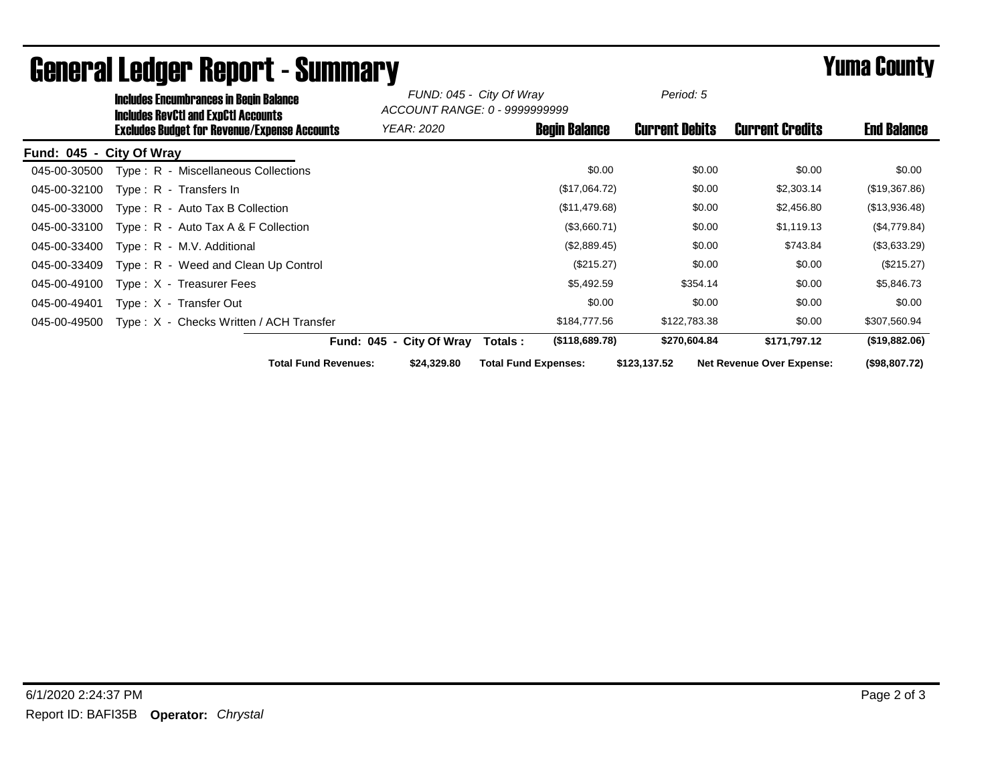| <b>Includes Encumbrances in Begin Balance</b><br><b>Includes RevCtI and ExpCtI Accounts</b> |                                            | FUND: 045 - City Of Wray<br>ACCOUNT RANGE: 0 - 9999999999 |                       |                                  |                    |
|---------------------------------------------------------------------------------------------|--------------------------------------------|-----------------------------------------------------------|-----------------------|----------------------------------|--------------------|
| <b>Excludes Budget for Revenue/Expense Accounts</b>                                         | YEAR: 2020                                 | <b>Begin Balance</b>                                      | <b>Current Debits</b> | <b>Current Credits</b>           | <b>End Balance</b> |
| Fund: 045 - City Of Wray                                                                    |                                            |                                                           |                       |                                  |                    |
| Type: R - Miscellaneous Collections<br>045-00-30500                                         |                                            | \$0.00                                                    | \$0.00                | \$0.00                           | \$0.00             |
| 045-00-32100<br>Type: R - Transfers In                                                      |                                            | (\$17,064.72)                                             | \$0.00                | \$2,303.14                       | (\$19,367.86)      |
| 045-00-33000<br>$Type: R - Auto Tax B Collection$                                           |                                            | (\$11,479.68)                                             | \$0.00                | \$2,456.80                       | (\$13,936.48)      |
| 045-00-33100<br>Type: $R -$ Auto Tax A & F Collection                                       |                                            | (\$3,660.71)                                              | \$0.00                | \$1,119.13                       | (\$4,779.84)       |
| 045-00-33400<br>Type: R - M.V. Additional                                                   |                                            | (\$2,889.45)                                              | \$0.00                | \$743.84                         | (\$3,633.29)       |
| 045-00-33409<br>Type: R - Weed and Clean Up Control                                         |                                            | (\$215.27)                                                | \$0.00                | \$0.00                           | (\$215.27)         |
| 045-00-49100<br>Type: X - Treasurer Fees                                                    |                                            | \$5,492.59                                                | \$354.14              | \$0.00                           | \$5,846.73         |
| 045-00-49401<br>Type: X - Transfer Out                                                      |                                            | \$0.00                                                    | \$0.00                | \$0.00                           | \$0.00             |
| Type: X - Checks Written / ACH Transfer<br>045-00-49500                                     |                                            | \$184,777.56                                              | \$122,783.38          | \$0.00                           | \$307,560.94       |
|                                                                                             | Fund: 045 - City Of Wray                   | (\$118,689.78)<br>Totals :                                | \$270,604.84          | \$171,797.12                     | (\$19,882.06)      |
|                                                                                             | <b>Total Fund Revenues:</b><br>\$24,329.80 | <b>Total Fund Expenses:</b>                               | \$123,137.52          | <b>Net Revenue Over Expense:</b> | (\$98,807.72)      |

## General Ledger Report - Summary **Example 2018** Yuma County